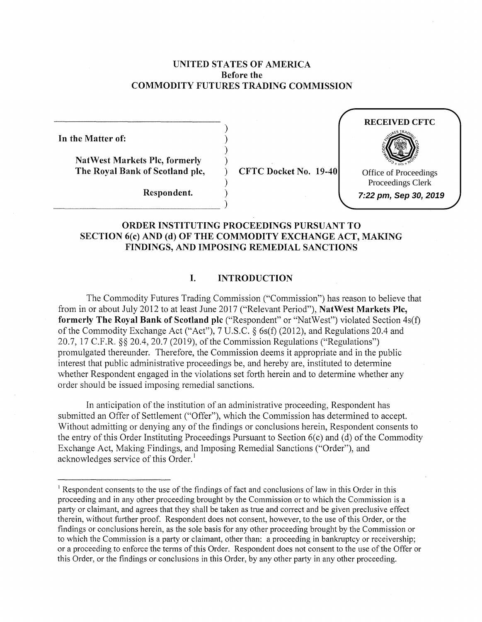## **UNITED STATES OF AMERICA Before the COMMODITY FUTURES TRADING COMMISSION**

) ) ) )

)

**In the Matter of:** 

**NatWest Markets Pie, formerly The Royal Bank of Scotland pie,** 

 $\begin{CD} \text{Respondent.} \qquad \qquad \text{)} \nonumber \[1.5ex] \text{Respondent.} \qquad \qquad \text{)} \nonumber \end{CD}$ 

**Respondent.** )

) **CFTC Docket No. 19-40** 



**7:22 pm, Sep 30, 2019**

# **ORDER INSTITUTING PROCEEDINGS PURSUANT TO SECTION 6(c) AND (d) OF THE COMMODITY EXCHANGE ACT, MAKING FINDINGS, AND IMPOSING REMEDIAL SANCTIONS**

## **I. INTRODUCTION**

The Commodity Futures Trading Commission ("Commission") has reason to believe that from in or about July 2012 to at least June 2017 ("Relevant Period"), **NatWest Markets Pie, formerly The Royal Bank of Scotland pie** ("Respondent" or "NatWest") violated Section 4s(f) of the Commodity Exchange Act ("Act"), 7 U.S.C. § 6s(f) (2012), and Regulations 20.4 and 20.7, 17 C.F.R. §§ 20.4, 20.7 (2019), of the Commission Regulations ("Regulations") promulgated thereunder. Therefore, the Commission deems it appropriate and in the public interest that public administrative proceedings be, and hereby are, instituted to determine whether Respondent engaged in the violations set forth herein and to determine whether any order should be issued imposing remedial sanctions.

In anticipation of the institution of an administrative proceeding, Respondent has submitted an Offer of Settlement ("Offer"), which the Commission has determined to accept. Without admitting or denying any of the findings or conclusions herein, Respondent consents to the entry of this Order Instituting Proceedings Pursuant to Section 6(c) and (d) of the Commodity Exchange Act, Making Findings, and Imposing Remedial Sanctions ("Order"), and acknowledges service of this Order.<sup>1</sup>

<sup>&</sup>lt;sup>1</sup> Respondent consents to the use of the findings of fact and conclusions of law in this Order in this proceeding and in any other proceeding brought by the Commission or to which the Commission is a party or claimant, and agrees that they shall be taken as true and correct and be given preclusive effect therein, without further proof. Respondent does not consent, however, to the use of this Order, or the findings or conclusions herein, as the sole basis for any other proceeding brought by the Commission or to which the Commission is a party or claimant, other than: a proceeding in bankruptcy or receivership; or a proceeding to enforce the tenns of this Order. Respondent does not consent to the use of the Offer or this Order, or the findings or conclusions in this Order, by any other party in any other proceeding.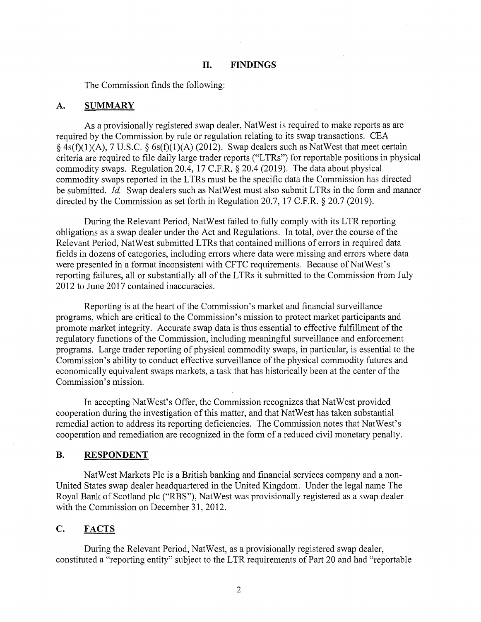The Commission finds the following:

#### **A. SUMMARY**

As a provisionally registered swap dealer, NatWest is required to make reports as are required by the Commission by rule or regulation relating to its swap transactions. CEA  $§$  4s(f)(1)(A), 7 U.S.C. § 6s(f)(1)(A) (2012). Swap dealers such as NatWest that meet certain criteria are required to file daily large trader reports ("LTRs") for reportable positions in physical commodity swaps. Regulation 20.4, 17 C.F.R. § 20.4 (2019). The data about physical commodity swaps reported in the L TRs must be the specific data the Commission has directed be submitted. *Id.* Swap dealers such as NatWest must also submit LTRs in the form and manner directed by the Commission as set forth in Regulation 20.7, 17 C.F.R. § 20.7 (2019).

During the Relevant Period, NatWest failed to fully comply with its LTR reporting obligations as a swap dealer under the Act and Regulations. In total, over the course of the Relevant Period, NatWest submitted LTRs that contained millions of errors in required data fields in dozens of categories, including errors where data were missing and errors where data were presented in a format inconsistent with CFTC requirements. Because of Nat West's reporting failures, all or substantially all of the LTRs it submitted to the Commission from July 2012 to June 2017 contained inaccuracies.

Reporting is at the heart of the Commission's market and financial surveillance programs, which are critical to the Commission's mission to protect market participants and promote market integrity. Accurate swap data is thus essential to effective fulfillment of the regulatory functions of the Commission, including meaningful surveillance and enforcement programs. Large trader reporting of physical commodity swaps, in particular, is essential to the Commission's ability to conduct effective surveillance of the physical commodity futures and economically equivalent swaps markets, a task that has historically been at the center of the Commission's mission.

In accepting Nat West's Offer, the Commission recognizes that NatWest provided cooperation during the investigation of this matter, and that NatWest has taken substantial remedial action to address its reporting deficiencies. The Commission notes that Nat West's cooperation and remediation are recognized in the form of a reduced civil monetary penalty.

## **B.** RESPONDENT

NatWest Markets Plc is a British banking and financial services company and a non-United States swap dealer headquartered in the United Kingdom. Under the legal name The Royal Bank of Scotland plc ("RBS"), NatWest was provisionally registered as a swap dealer with the Commission on December 31, 2012.

### **C. FACTS**

During the Relevant Period, NatWest, as a provisionally registered swap dealer, constituted a "reporting entity" subject to the LTR requirements of Part 20 and had "reportable

2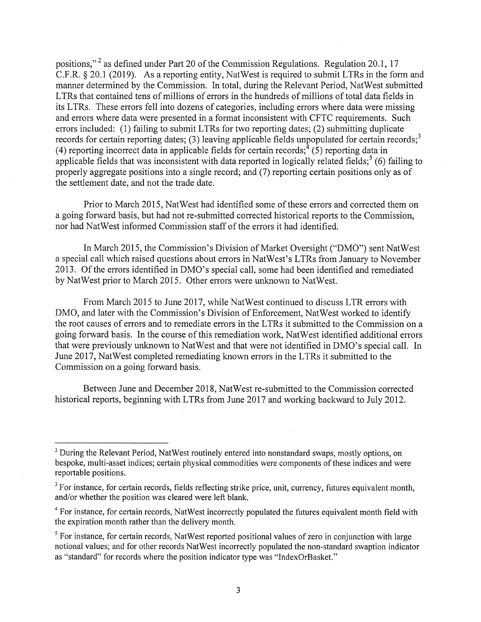positions,"<sup>2</sup> as defined under Part 20 of the Commission Regulations. Regulation 20.1, 17 C.F.R. § 20.1 (2019). As a reporting entity, NatWest is required to submit LTRs in the form and manner determined by the Commission. In total, during the Relevant Period, NatWest submitted LTRs that contained tens of millions of errors in the hundreds of millions of total data fields in its LTRs. These errors fell into dozens of categories, including errors where data were missing and errors where data were presented in a format inconsistent with CFTC requirements. Such errors included: (1) failing to submit LTRs for two reporting dates; (2) submitting duplicate records for certain reporting dates; (3) leaving applicable fields unpopulated for certain records;<sup>3</sup> (4) reporting incorrect data in applicable fields for certain records;  $(5)$  reporting data in applicable fields that was inconsistent with data reported in logically related fields;<sup>5</sup> (6) failing to properly aggregate positions into a single record; and (7) reporting certain positions only as of the settlement date, and not the trade date.

Prior to March 2015, NatWest had identified some of these errors and corrected them on a going forward basis, but had not re-submitted corrected historical reports to the Commission, nor had NatWest informed Commission staff of the errors it had identified.

In March 2015, the Commission's Division of Market Oversight ("DMO") sent NatWest a special call which raised questions about errors in NatWest's LTRs from January to November 2013. Of the errors identified in DMO's special call, some had been identified and remediated by NatWest prior to March 2015. Other errors were unknown to NatWest.

From March 2015 to June 2017, while Nat West continued to discuss LTR errors with DMO, and later with the Commission's Division of Enforcement, NatWest worked to identify the root causes of errors and to remediate errors in the LTRs it submitted to the Commission on a going forward basis. In the course of this remediation work, NatWest identified additional errors that were previously unknown to NatWest and that were not identified in DMO's special call. In June 2017, NatWest completed remediating known errors in the LTRs it submitted to the Commission on a going forward basis.

Between June and December 2018, NatWest re-submitted to the Commission corrected historical reports, beginning with LTRs from June 2017 and working backward to July 2012.

<sup>&</sup>lt;sup>2</sup> During the Relevant Period, NatWest routinely entered into nonstandard swaps, mostly options, on bespoke, multi-asset indices; certain physical commodities were components of these indices and were reportable positions.

<sup>&</sup>lt;sup>3</sup> For instance, for certain records, fields reflecting strike price, unit, currency, futures equivalent month, and/or whether the position was cleared were left blank.

<sup>&</sup>lt;sup>4</sup> For instance, for certain records, NatWest incorrectly populated the futures equivalent month field with the expiration month rather than the delivery month.

<sup>&</sup>lt;sup>5</sup> For instance, for certain records, NatWest reported positional values of zero in conjunction with large notional values; and for other records NatWest incorrectly populated the non-standard swaption indicator as "standard" for records where the position indicator type was "IndexOrBasket."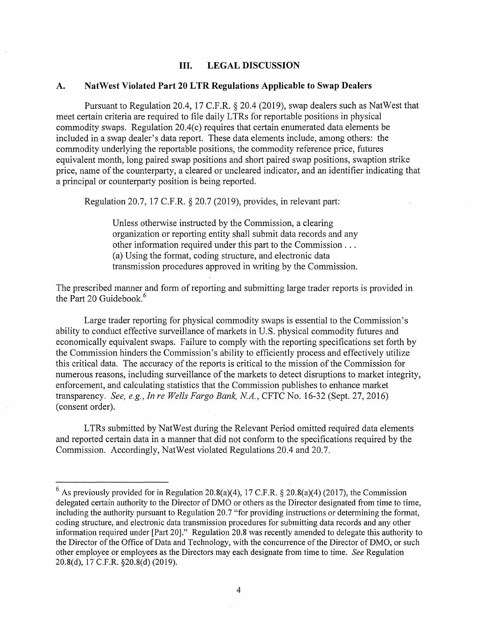## **III. LEGAL DISCUSSION**

#### **A. NatWest Violated Part 20 LTR Regulations Applicable to Swap Dealers**

Pursuant to Regulation 20.4, 17 C.F.R. § 20.4 (2019), swap dealers such as NatWest that meet certain criteria are required to file daily LTRs for reportable positions in physical commodity swaps. Regulation 20.4(c) requires that certain enumerated data elements be included in a swap dealer's data report. These data elements include, among others: the commodity underlying the reportable positions, the commodity reference price, futures equivalent month, long paired swap positions and short paired swap positions, swaption strike price, name of the counterparty, a cleared or uncleared indicator, and an identifier indicating that a principal or counterparty position is being reported.

Regulation 20.7, 17 C.F.R. § 20.7 (2019), provides, in relevant part:

Unless otherwise instructed by the Commission, a clearing organization or reporting entity shall submit data records and any other information required under this part to the Commission ... (a) Using the format, coding structure, and electronic data transmission procedures approved in writing by the Commission.

The prescribed manner and form of reporting and submitting large trader reports is provided in the Part 20 Guidebook.<sup>6</sup>

Large trader reporting for physical commodity swaps is essential to the Commission's ability to conduct effective surveillance of markets in U.S. physical commodity futures and economically equivalent swaps. Failure to comply with the reporting specifications set forth by the Commission hinders the Commission's ability to efficiently process and effectively utilize this critical data. The accuracy of the reports is critical to the mission of the Commission for numerous reasons, including surveillance of the markets to detect disruptions to market integrity, enforcement, and calculating statistics that the Commission publishes to enhance market transparency. *See, e.g., In re Wells Fargo Bank, NA.,* CFTC No. 16-32 (Sept. 27, 2016) ( consent order).

LTRs submitted by NatWest during the Relevant Period omitted required data elements and reported certain data in a manner that did not conform to the specifications required by the Commission. Accordingly, NatWest violated Regulations 20.4 and 20.7.

<sup>&</sup>lt;sup>6</sup> As previously provided for in Regulation 20.8(a)(4), 17 C.F.R. § 20.8(a)(4) (2017), the Commission delegated certain authority to the Director of DMO or others as the Director designated from time to time, including the authority pursuant to Regulation 20.7 "for providing instructions or determining the format, coding structure, and electronic data transmission procedures for submitting data records and any other information required under [Part 20]." Regulation 20.8 was recently amended to delegate this authority to the Director of the Office of Data and Technology, with the concurrence of the Director of DMO, or such other employee or employees as the Directors may each designate from time to time. *See* Regulation 20.8(d), 17 C.F.R. §20.8(d) (2019).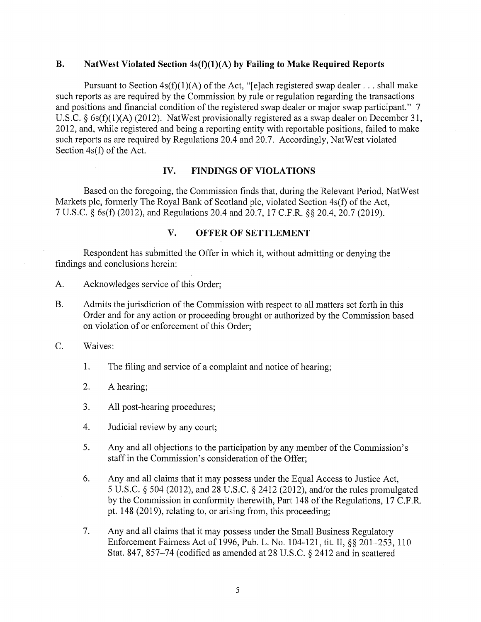### **B. NatWest Violated Section 4s(f)(l)(A) by Failing to Make Required Reports**

Pursuant to Section  $4s(f)(1)(A)$  of the Act, "[e]ach registered swap dealer ... shall make such reports as are required by the Commission by rule or regulation regarding the transactions and positions and financial condition of the registered swap dealer or major swap participant." 7 U.S.C. §  $6s(f)(1)(A)$  (2012). NatWest provisionally registered as a swap dealer on December 31, 2012, and, while registered and being a reporting entity with reportable positions, failed to make such reports as are required by Regulations 20.4 and 20.7. Accordingly, NatWest violated Section 4s(f) of the Act.

### **IV. FINDINGS OF VIOLATIONS**

Based on the foregoing, the Commission finds that, during the Relevant Period, NatWest Markets plc, formerly The Royal Bank of Scotland plc, violated Section 4s(f) of the Act, 7 U.S.C. § 6s(f) (2012), and Regulations 20.4 and 20.7, 17 C.F.R. §§ 20.4, 20.7 (2019).

# **V. OFFER OF SETTLEMENT**

Respondent has submitted the Offer in which it, without admitting or denying the findings and conclusions herein:

- A. Acknowledges service of this Order;
- B. Admits the jurisdiction of the Commission with respect to all matters set forth in this Order and for any action or proceeding brought or authorized by the Commission based on violation of or enforcement of this Order;
- C. Waives:
	- 1. The filing and service of a complaint and notice of hearing;
	- 2. A hearing;
	- 3. All post-hearing procedures;
	- 4. Judicial review by any court;
	- 5. Any and all objections to the participation by any member of the Commission's staff in the Commission's consideration of the Offer;
	- 6. Any and all claims that it may possess under the Equal Access to Justice Act, 5 U.S.C. § 504 (2012), and 28 U.S.C. § 2412 (2012), and/or the rules promulgated by the Commission in conformity therewith, Part 148 of the Regulations, 17 C.F.R. pt. 148 (2019), relating to, or arising from, this proceeding;
	- 7. Any and all claims that it may possess under the Small Business Regulatory Enforcement Fairness Act of 1996, Pub. L. No. 104-121, tit. II,§§ 201-253, 110 Stat. 847, 857-74 (codified as amended at 28 U.S.C. § 2412 and in scattered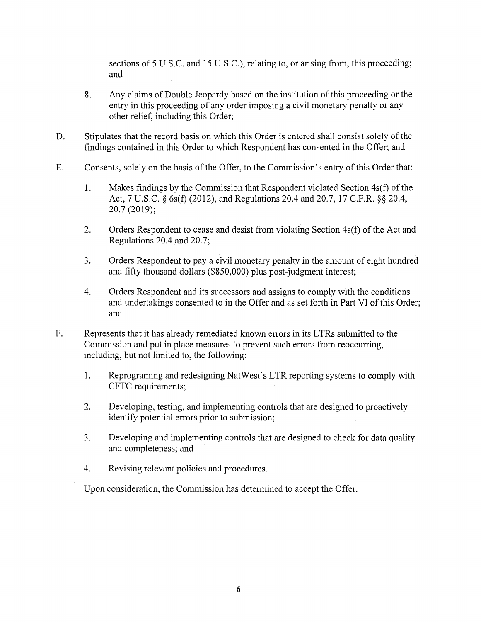sections of 5 U.S.C. and 15 U.S.C.), relating to, or arising from, this proceeding; and

- 8. Any claims of Double Jeopardy based on the institution of this proceeding or the entry in this proceeding of any order imposing a civil monetary penalty or any other relief, including this Order;
- D. Stipulates that the record basis on which this Order is entered shall consist solely of the findings contained in this Order to which Respondent has consented in the Offer; and
- E. Consents, solely on the basis of the Offer, to the Commission's entry of this Order that:
	- 1. Makes findings by the Commission that Respondent violated Section 4s(f) of the Act, 7 U.S.C. § 6s(f) (2012), and Regulations 20.4 and 20.7, 17 C.F.R. §§ 20.4, 20.7 (2019);
	- 2. Orders Respondent to cease and desist from violating Section 4s(f) of the Act and Regulations 20.4 and 20.7;
	- 3. Orders Respondent to pay a civil monetary penalty in the amount of eight hundred and fifty thousand dollars (\$850,000) plus post-judgment interest;
	- 4. Orders Respondent and its successors and assigns to comply with the conditions and undertakings consented to in the Offer and as set forth in Part VI of this Order; and
- F. Represents that it has already remediated known errors in its LTRs submitted to the Commission and put in place measures to prevent such errors from reoccurring, including, but not limited to, the following:
	- 1. Reprograming and redesigning Nat West's LTR reporting systems to comply with CFTC requirements;
	- 2. Developing, testing, and implementing controls that are designed to proactively identify potential errors prior to submission;
	- 3. Developing and implementing controls that are designed to check for data quality and completeness; and
	- 4. Revising relevant policies and procedures.

Upon consideration, the Commission has determined to accept the Offer.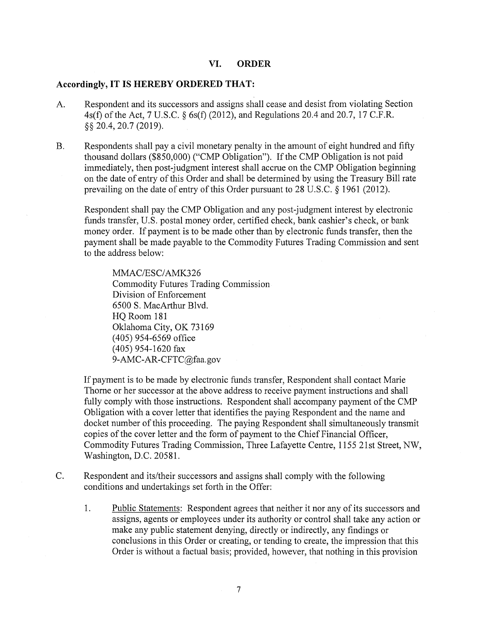### **VI. ORDER**

# **Accordingly, IT IS HEREBY ORDERED THAT:**

- A. Respondent and its successors and assigns shall cease and desist from violating Section 4s(f) of the Act, 7 U.S.C. § 6s(f) (2012), and Regulations 20.4 and 20.7, 17 C.F.R. §§ 20.4, 20.7 (2019).
- B. Respondents shall pay a civil monetary penalty in the amount of eight hundred and fifty thousand dollars (\$850,000) ("CMP Obligation"). If the CMP Obligation is not paid immediately, then post-judgment interest shall accrue on the CMP Obligation beginning on the date of entry of this Order and shall be determined by using the Treasury Bill rate prevailing on the date of entry of this Order pursuant to 28 U.S.C. § 1961 (2012).

Respondent shall pay the CMP Obligation and any post-judgment interest by electronic funds transfer, U.S. postal money order, certified check, bank cashier's check, or bank money order. If payment is to be made other than by electronic funds transfer, then the payment shall be made payable to the Commodity Futures Trading Commission and sent to the address below:

MMAC/ESC/AMK326 Commodity Futures Trading Commission Division of Enforcement 6500 S. MacArthur Blvd. HQ Room 181 Oklahoma City, OK 73169 ( 405) 954-6569 office (405) 954-1620 fax 9-AMC-AR-CFTC@faa.gov

If payment is to be made by electronic funds transfer, Respondent shall contact Marie Thome or her successor at the above address to receive payment instructions and shall fully comply with those instructions. Respondent shall accompany payment of the CMP Obligation with a cover letter that identifies the paying Respondent and the name and docket number of this proceeding. The paying Respondent shall simultaneously transmit copies of the cover letter and the form of payment to the Chief Financial Officer, Commodity Futures Trading Commission, Three Lafayette Centre, 1155 21st Street, NW, Washington, D.C. 20581.

C. Respondent and its/their successors and assigns shall comply with the following conditions and undertakings set forth in the Offer:

1. Public Statements: Respondent agrees that neither it nor any of its successors and assigns, agents or employees under its authority or control shall take any action or make any public statement denying, directly or indirectly, any findings or conclusions in this Order or creating, or tending to create, the impression that this Order is without a factual basis; provided, however, that nothing in this provision

7